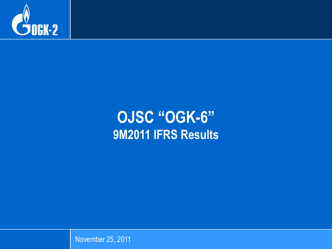

# **OJSC "OGK-6" 9M2011 IFRS Results**

November 25, 2011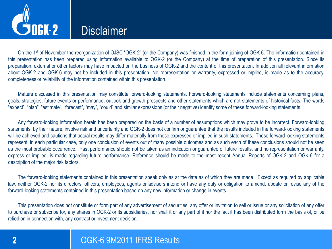

### **Disclaimer**

On the 1<sup>st</sup> of November the reorganization of OJSC "OGK-2" (or the Company) was finished in the form joining of OGK-6. The information contained in this presentation has been prepared using information available to OGK-2 (or the Company) at the time of preparation of this presentation. Since its preparation, external or other factors may have impacted on the business of OGK-2 and the content of this presentation. In addition all relevant information about OGK-2 and OGK-6 may not be included in this presentation. No representation or warranty, expressed or implied, is made as to the accuracy, completeness or reliability of the information contained within this presentation.

Matters discussed in this presentation may constitute forward-looking statements. Forward-looking statements include statements concerning plans, goals, strategies, future events or performance, outlook and growth prospects and other statements which are not statements of historical facts. The words "expect", "plan", "estimate", "forecast", "may", "could" and similar expressions (or their negative) identify some of these forward-looking statements.

Any forward-looking information herein has been prepared on the basis of a number of assumptions which may prove to be incorrect. Forward-looking statements, by their nature, involve risk and uncertainty and OGK-2 does not confirm or guarantee that the results included in the forward-looking statements will be achieved and cautions that actual results may differ materially from those expressed or implied in such statements. These forward-looking statements represent, in each particular case, only one conclusion of events out of many possible outcomes and as such each of these conclusions should not be seen as the most probable occurrence. Past performance should not be taken as an indication or guarantee of future results, and no representation or warranty, express or implied, is made regarding future performance. Reference should be made to the most recent Annual Reports of OGK-2 and OGK-6 for a description of the major risk factors.

The forward-looking statements contained in this presentation speak only as at the date as of which they are made. Except as required by applicable law, neither OGK-2 nor its directors, officers, employees, agents or advisers intend or have any duty or obligation to amend, update or revise any of the forward-looking statements contained in this presentation based on any new information or change in events.

This presentation does not constitute or form part of any advertisement of securities, any offer or invitation to sell or issue or any solicitation of any offer to purchase or subscribe for, any shares in OGK-2 or its subsidiaries, nor shall it or any part of it nor the fact it has been distributed form the basis of, or be relied on in connection with, any contract or investment decision.

### **2** OGK-6 9M2011 IFRS Results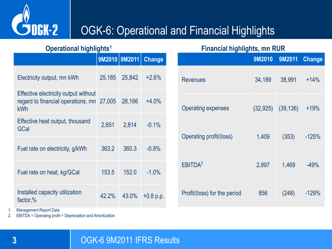

## OGK-6: Operational and Financial Highlights

|                                                                                                 | 9M2010 9M2011 |        | <b>Change</b> |  |  |
|-------------------------------------------------------------------------------------------------|---------------|--------|---------------|--|--|
| Electricity output, mn kWh                                                                      | 25,185        | 25,842 | $+2.6%$       |  |  |
| <b>Effective electricity output without</b><br>regard to financial operations, mn 27,005<br>kWh |               | 28,166 | $+4.0%$       |  |  |
| Effective heat output, thousand<br>GCal                                                         | 2,851         | 2,814  | $-0.1%$       |  |  |
| Fuel rate on electricity, g/kWh                                                                 | 363.2         | 360.3  | $-0.8%$       |  |  |
| Fuel rate on heat, kg/GCal                                                                      | 153.5         | 152.0  | $-1.0%$       |  |  |
| Installed capacity utilization<br>factor,%                                                      | 42.2%         | 43.0%  | $+0.8$ p.p.   |  |  |

#### **Operational highlights<sup>1</sup> Financial highlights, mn RUR**

| . ,                          | 9M2010    | 9M2011    | <b>Change</b> |
|------------------------------|-----------|-----------|---------------|
| <b>Revenues</b>              | 34,189    | 38,991    | $+14%$        |
| <b>Operating expenses</b>    | (32, 925) | (39, 136) | $+19%$        |
| Operating profit/(loss)      | 1,409     | (353)     | $-125%$       |
| FBITDA <sup>2</sup>          | 2,897     | 1,469     | $-49%$        |
| Profit/(loss) for the period | 856       | (248)     | $-129%$       |

1. Management Report Data

2. EBITDA = Operating profit + Depreciation and Amortization

#### **3 COUNTER SECUTE 10 OGK-6 9M2011 IFRS Results**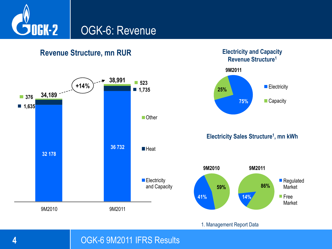

**Revenue Structure, mn RUR**



**Electricity and Capacity Revenue Structure<sup>1</sup>**

**<sup>4</sup>** OGK-6 9M2011 IFRS Results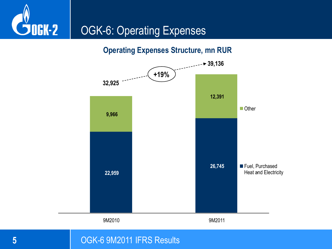

**Operating Expenses Structure, mn RUR**



#### **5** OGK-6 9M2011 IFRS Results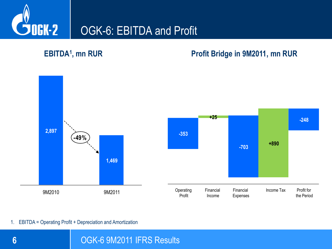

#### **EBITDA<sup>1</sup>**

#### **, mn RUR Profit Bridge in 9M2011, mn RUR**



1. EBITDA = Operating Profit + Depreciation and Amortization

**6 1** OGK-6 9M2011 IFRS Results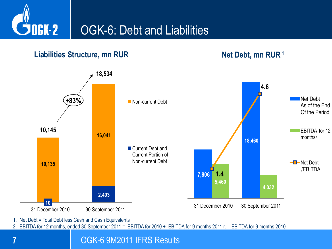

#### **Liabilities Structure, mn RUR Net Debt, mn RUR**<sup>1</sup>



1. Net Debt = Total Debt less Cash and Cash Equivalents

2. EBITDA for 12 months, ended 30 September 2011 = EBITDA for 2010 + EBITDA for 9 months 2011 г. – EBITDA for 9 months 2010

**7** OGK-6 9M2011 IFRS Results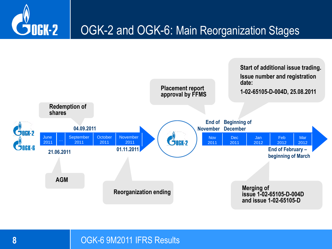



#### **8 COUNTER 19 OGK-6 9M2011 IFRS Results**